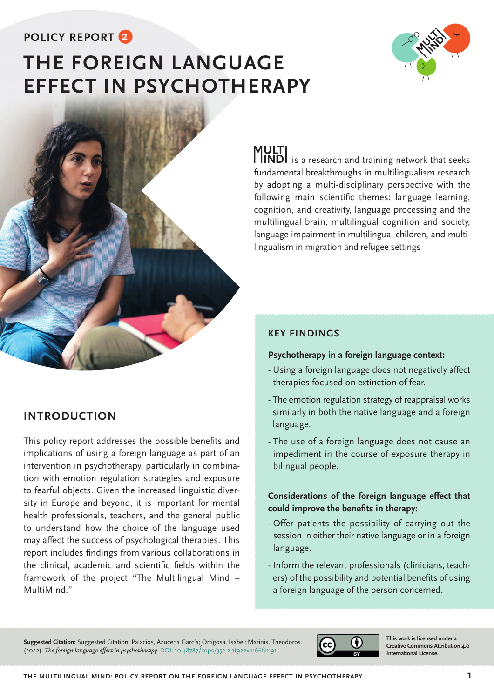# **POLICY REPORT 2**

# **THE FOREIGN LANGUAGE EFFECT IN PSYCHOTHERAPY**





# **INTRODUCTION**

This policy report addresses the possible benefits and implications of using a foreign language as part of an intervention in psychotherapy, particularly in combination with emotion regulation strategies and exposure to fearful objects. Given the increased linguistic diversity in Europe and beyond, it is important for mental health professionals, teachers, and the general public to understand how the choice of the language used may affect the success of psychological therapies. This report includes findings from various collaborations in the clinical, academic and scientific fields within the framework of the project "The Multilingual Mind – MultiMind."

**MULTi**<br>**IIND!** is a research and training network that seeks fundamental breakthroughs in multilingualism research by adopting a multi-disciplinary perspective with the following main scientific themes: language learning, cognition, and creativity, language processing and the multilingual brain, multilingual cognition and society, language impairment in multilingual children, and multilingualism in migration and refugee settings

# **KEY FINDINGS**

#### **Psychotherapy in a foreign language context:**

- Using a foreign language does not negatively affect therapies focused on extinction of fear.
- The emotion regulation strategy of reappraisal works similarly in both the native language and a foreign language.
- The use of a foreign language does not cause an impediment in the course of exposure therapy in bilingual people.

## **Considerations of the foreign language effect that could improve the benefits in therapy:**

- Offer patients the possibility of carrying out the session in either their native language or in a foreign language.
- Inform the relevant professionals (clinicians, teachers) of the possibility and potential benefits of using a foreign language of the person concerned.

**Suggested Citation:** Suggested Citation: Palacios, Azucena García; Ortigosa, Isabel; Marinis, Theodoros. (2022). *The foreign language effect in psychotherapy.* [DOI: 10.48787/kops/352-2-1t922xm66fjm91](https://kops.uni-konstanz.de/handle/123456789/57765)



**This work is licensed under a Creative Commons Attribution 4.0 International License.**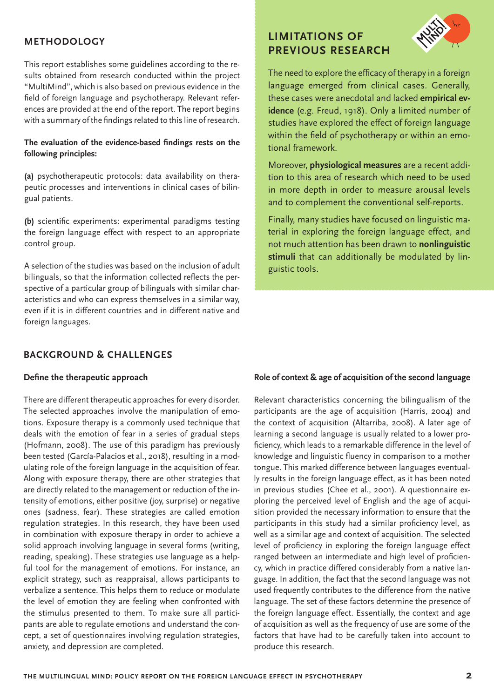### **METHODOLOGY**

This report establishes some guidelines according to the results obtained from research conducted within the project "MultiMind", which is also based on previous evidence in the field of foreign language and psychotherapy. Relevant references are provided at the end of the report. The report begins with a summary of the findings related to this line of research.

#### **The evaluation of the evidence-based findings rests on the following principles:**

**(a)** psychotherapeutic protocols: data availability on therapeutic processes and interventions in clinical cases of bilingual patients.

**(b)** scientific experiments: experimental paradigms testing the foreign language effect with respect to an appropriate control group.

A selection of the studies was based on the inclusion of adult bilinguals, so that the information collected reflects the perspective of a particular group of bilinguals with similar characteristics and who can express themselves in a similar way, even if it is in different countries and in different native and foreign languages.

### **BACKGROUND & CHALLENGES**

#### **Define the therapeutic approach**

There are different therapeutic approaches for every disorder. The selected approaches involve the manipulation of emotions. Exposure therapy is a commonly used technique that deals with the emotion of fear in a series of gradual steps (Hofmann, 2008). The use of this paradigm has previously been tested (García-Palacios et al., 2018), resulting in a modulating role of the foreign language in the acquisition of fear. Along with exposure therapy, there are other strategies that are directly related to the management or reduction of the intensity of emotions, either positive (joy, surprise) or negative ones (sadness, fear). These strategies are called emotion regulation strategies. In this research, they have been used in combination with exposure therapy in order to achieve a solid approach involving language in several forms (writing, reading, speaking). These strategies use language as a helpful tool for the management of emotions. For instance, an explicit strategy, such as reappraisal, allows participants to verbalize a sentence. This helps them to reduce or modulate the level of emotion they are feeling when confronted with the stimulus presented to them. To make sure all participants are able to regulate emotions and understand the concept, a set of questionnaires involving regulation strategies, anxiety, and depression are completed.

# **LIMITATIONS OF PREVIOUS RESEARCH**



The need to explore the efficacy of therapy in a foreign language emerged from clinical cases. Generally, these cases were anecdotal and lacked **empirical evidence** (e.g. Freud, 1918). Only a limited number of studies have explored the effect of foreign language within the field of psychotherapy or within an emotional framework.

Moreover, **physiological measures** are a recent addition to this area of research which need to be used in more depth in order to measure arousal levels and to complement the conventional self-reports.

Finally, many studies have focused on linguistic material in exploring the foreign language effect, and not much attention has been drawn to **nonlinguistic stimuli** that can additionally be modulated by linguistic tools.

#### **Role of context & age of acquisition of the second language**

Relevant characteristics concerning the bilingualism of the participants are the age of acquisition (Harris, 2004) and the context of acquisition (Altarriba, 2008). A later age of learning a second language is usually related to a lower proficiency, which leads to a remarkable difference in the level of knowledge and linguistic fluency in comparison to a mother tongue. This marked difference between languages eventually results in the foreign language effect, as it has been noted in previous studies (Chee et al., 2001). A questionnaire exploring the perceived level of English and the age of acquisition provided the necessary information to ensure that the participants in this study had a similar proficiency level, as well as a similar age and context of acquisition. The selected level of proficiency in exploring the foreign language effect ranged between an intermediate and high level of proficiency, which in practice differed considerably from a native language. In addition, the fact that the second language was not used frequently contributes to the difference from the native language. The set of these factors determine the presence of the foreign language effect. Essentially, the context and age of acquisition as well as the frequency of use are some of the factors that have had to be carefully taken into account to produce this research.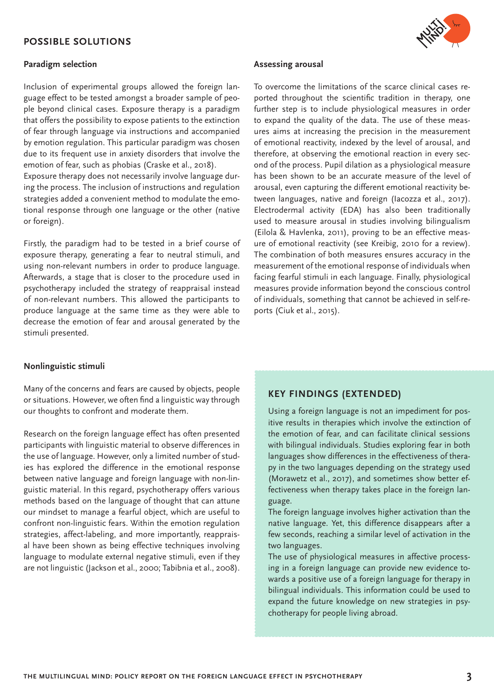#### **POSSIBLE SOLUTIONS**

#### **Paradigm selection**

Inclusion of experimental groups allowed the foreign language effect to be tested amongst a broader sample of people beyond clinical cases. Exposure therapy is a paradigm that offers the possibility to expose patients to the extinction of fear through language via instructions and accompanied by emotion regulation. This particular paradigm was chosen due to its frequent use in anxiety disorders that involve the emotion of fear, such as phobias (Craske et al., 2018).

Exposure therapy does not necessarily involve language during the process. The inclusion of instructions and regulation strategies added a convenient method to modulate the emotional response through one language or the other (native or foreign).

Firstly, the paradigm had to be tested in a brief course of exposure therapy, generating a fear to neutral stimuli, and using non-relevant numbers in order to produce language. Afterwards, a stage that is closer to the procedure used in psychotherapy included the strategy of reappraisal instead of non-relevant numbers. This allowed the participants to produce language at the same time as they were able to decrease the emotion of fear and arousal generated by the stimuli presented.

#### **Nonlinguistic stimuli**

Many of the concerns and fears are caused by objects, people or situations. However, we often find a linguistic way through our thoughts to confront and moderate them.

Research on the foreign language effect has often presented participants with linguistic material to observe differences in the use of language. However, only a limited number of studies has explored the difference in the emotional response between native language and foreign language with non-linguistic material. In this regard, psychotherapy offers various methods based on the language of thought that can attune our mindset to manage a fearful object, which are useful to confront non-linguistic fears. Within the emotion regulation strategies, affect-labeling, and more importantly, reappraisal have been shown as being effective techniques involving language to modulate external negative stimuli, even if they are not linguistic (Jackson et al., 2000; Tabibnia et al., 2008).

#### **Assessing arousal**

To overcome the limitations of the scarce clinical cases reported throughout the scientific tradition in therapy, one further step is to include physiological measures in order to expand the quality of the data. The use of these measures aims at increasing the precision in the measurement of emotional reactivity, indexed by the level of arousal, and therefore, at observing the emotional reaction in every second of the process. Pupil dilation as a physiological measure has been shown to be an accurate measure of the level of arousal, even capturing the different emotional reactivity between languages, native and foreign (Iacozza et al., 2017). Electrodermal activity (EDA) has also been traditionally used to measure arousal in studies involving bilingualism (Eilola & Havlenka, 2011), proving to be an effective measure of emotional reactivity (see Kreibig, 2010 for a review). The combination of both measures ensures accuracy in the measurement of the emotional response of individuals when facing fearful stimuli in each language. Finally, physiological measures provide information beyond the conscious control of individuals, something that cannot be achieved in self-reports (Ciuk et al., 2015).

#### **KEY FINDINGS (EXTENDED)**

Using a foreign language is not an impediment for positive results in therapies which involve the extinction of the emotion of fear, and can facilitate clinical sessions with bilingual individuals. Studies exploring fear in both languages show differences in the effectiveness of therapy in the two languages depending on the strategy used (Morawetz et al., 2017), and sometimes show better effectiveness when therapy takes place in the foreign language.

The foreign language involves higher activation than the native language. Yet, this difference disappears after a few seconds, reaching a similar level of activation in the two languages.

The use of physiological measures in affective processing in a foreign language can provide new evidence towards a positive use of a foreign language for therapy in bilingual individuals. This information could be used to expand the future knowledge on new strategies in psychotherapy for people living abroad.